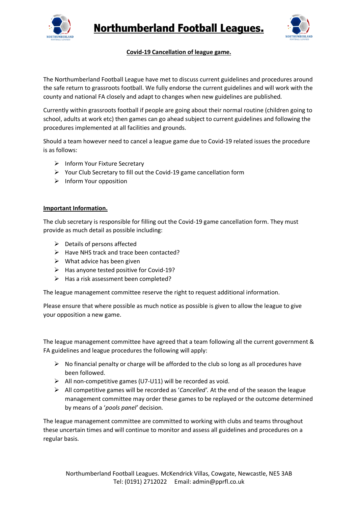



## **Covid-19 Cancellation of league game.**

The Northumberland Football League have met to discuss current guidelines and procedures around the safe return to grassroots football. We fully endorse the current guidelines and will work with the county and national FA closely and adapt to changes when new guidelines are published.

Currently within grassroots football if people are going about their normal routine (children going to school, adults at work etc) then games can go ahead subject to current guidelines and following the procedures implemented at all facilities and grounds.

Should a team however need to cancel a league game due to Covid-19 related issues the procedure is as follows:

- $\triangleright$  Inform Your Fixture Secretary
- $\triangleright$  Your Club Secretary to fill out the Covid-19 game cancellation form
- $\triangleright$  Inform Your opposition

## **Important Information.**

The club secretary is responsible for filling out the Covid-19 game cancellation form. They must provide as much detail as possible including:

- $\triangleright$  Details of persons affected
- $\triangleright$  Have NHS track and trace been contacted?
- $\triangleright$  What advice has been given
- $\triangleright$  Has anyone tested positive for Covid-19?
- $\triangleright$  Has a risk assessment been completed?

The league management committee reserve the right to request additional information.

Please ensure that where possible as much notice as possible is given to allow the league to give your opposition a new game.

The league management committee have agreed that a team following all the current government & FA guidelines and league procedures the following will apply:

- $\triangleright$  No financial penalty or charge will be afforded to the club so long as all procedures have been followed.
- $\triangleright$  All non-competitive games (U7-U11) will be recorded as void.
- All competitive games will be recorded as '*Cancelled'.* At the end of the season the league management committee may order these games to be replayed or the outcome determined by means of a '*pools panel'* decision.

The league management committee are committed to working with clubs and teams throughout these uncertain times and will continue to monitor and assess all guidelines and procedures on a regular basis.